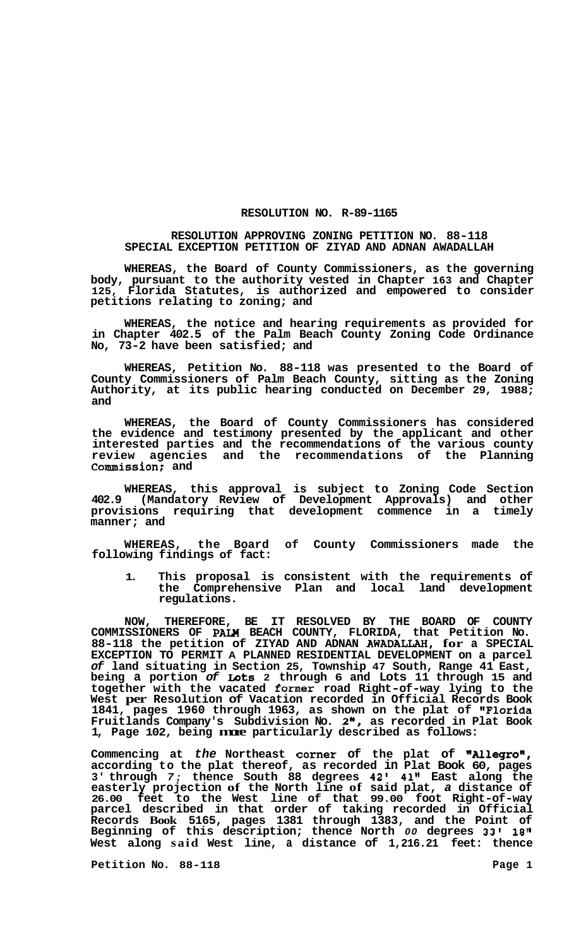## **RESOLUTION NO. R-89-1165**

## **RESOLUTION APPROVING ZONING PETITION NO. 88-118 SPECIAL EXCEPTION PETITION OF ZIYAD AND ADNAN AWADALLAH**

**WHEREAS, the Board of County Commissioners, as the governing body, pursuant to the authority vested in Chapter 163 and Chapter 125, Florida Statutes, is authorized and empowered to consider petitions relating to zoning; and** 

**WHEREAS, the notice and hearing requirements as provided for in Chapter 402.5 of the Palm Beach County Zoning Code Ordinance No, 73-2 have been satisfied; and** 

**WHEREAS, Petition No. 88-118 was presented to the Board of County Commissioners of Palm Beach County, sitting as the Zoning Authority, at its public hearing conducted on December 29, 1988; and** 

**WHEREAS, the Board of County Commissioners has considered the evidence and testimony presented by the applicant and other interested parties and the recommendations of the various county review agencies and the recommendations of the Planning Commission; and** 

**WHEREAS, this approval is subject to Zoning Code Section 402.9 (Mandatory Review of Development Approvals) and other provisions requiring that development commence in a timely manner; and** 

**WHEREAS, the Board of County Commissioners made the following findings of fact:** 

**1. This proposal is consistent with the requirements of the Comprehensive Plan and local land development regulations.** 

**NOW, THEREFORE, BE IT RESOLVED BY THE BOARD OF COUNTY COMMISSIONERS OF PAW BEACH COUNTY, FLORIDA, that Petition No. 88-118 the petition of ZIYAD AND ADNAN AWADALLAH, for a SPECIAL EXCEPTION TO PERMIT A PLANNED RESIDENTIAL DEVELOPMENT on a parcel**  *of* **land situating in Section 25, Township 47 South, Range 41 East, being a portion** *of* **Lots 2 through 6 and Lots 11 through 15 and together with the vacated former road Right-of-way lying to the West per Resolution of Vacation recorded in Official Records Book 1841, pages 1960 through 1963, as shown on the plat of "Florida Fruitlands Company's Subdivision No. 2", as recorded in Plat Book 1, Page 102, being more particularly described as follows:** 

Commencing at *the* Northeast corner of the plat of "Allegro", **according to the plat thereof, as recorded in Plat Book 60, pages 3' through** *7;* **thence South 88 degrees 42' 41" East along the easterly projection of the North line of said plat,** *a* **distance of 26.00 feet to the West line of that 99.00 foot Right-of-way parcel described in that order of taking recorded in Official Records Book 5165, pages 1381 through 1383, and the Point of Beginning of this description; thence North** *00* **degrees 33' 18" West along said West line, a distance of 1,216.21 feet: thence** 

Petition No. 88-118 **Page 1 Page 1**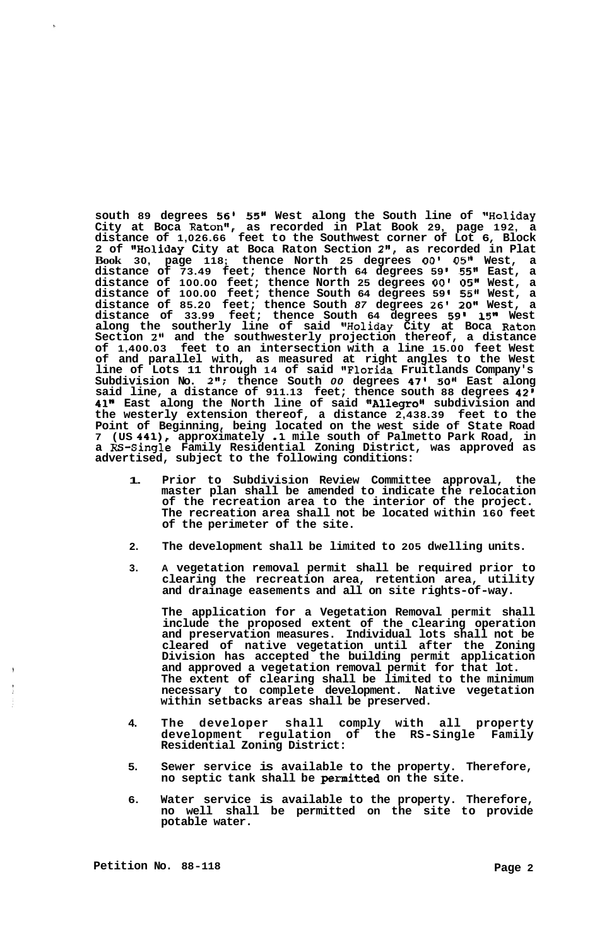**south 89 degrees 56' 55" West along the South line of "Holiday City at Boca Raton", as recorded in Plat Book 29, page 192, a distance of 1,026.66 feet to the Southwest corner of Lot 6, Block 2 of IIHoliday City at Boca Raton Section 2", as recorded in Plat Book 30, page 118; thence North 25 degrees** *00'* **0511 West, a distance of 73.49 feet; thence North 64 degrees 59 55" East, a distance of 100.00 feet; thence North 25 degrees** *00'* **05" West, a distance of 100.00 feet; thence South 64 degrees 59 5511 West, a distance of 85.20 feet; thence South** *87* **degrees 26' 20" West, a distance of 33.99 feet; thence South 64 degrees 59' 15" West along the southerly line of said "Holiday City at Boca Raton Section 2" and the southwesterly projection thereof, a distance of 1,400.03 feet to an intersection with a line 15.00 feet West of and parallel with, as measured at right angles to the West line of Lots 11 through 14 of said 'IFlorida Fruitlands Company's Subdivision No. 211; thence South** *00* **degrees 47' 50" East along said line, a distance of 911.13 feet; thence south 88 degrees 42' 41" East along the North line of said 18A11egro1' subdivision and the westerly extension thereof, a distance 2,438.39 feet to the Point of Beginning, being located on the west side of State Road <sup>7</sup>(US 441), approximately .1 mile south of Palmetto Park Road, in a RS-Single Family Residential Zoning District, was approved as advertised, subject to the following conditions:** 

- **1. Prior to Subdivision Review Committee approval, the master plan shall be amended to indicate the relocation of the recreation area to the interior of the project. The recreation area shall not be located within 160 feet of the perimeter of the site.**
- **2. The development shall be limited to 205 dwelling units.**
- **3. A vegetation removal permit shall be required prior to clearing the recreation area, retention area, utility and drainage easements and all on site rights-of-way.**

**The application for a Vegetation Removal permit shall include the proposed extent of the clearing operation and preservation measures. Individual lots shall not be cleared of native vegetation until after the Zoning Division has accepted the building permit application and approved a vegetation removal permit for that lot. The extent of clearing shall be limited to the minimum necessary to complete development. Native vegetation within setbacks areas shall be preserved.** 

- **4. The developer shall comply with all property development regulation of the RS-Single Family Residential Zoning District:**
- **5. Sewer service is available to the property. Therefore, no septic tank shall be permitted on the site.**
- **6. Water service is available to the property. Therefore, no well shall be permitted on the site to provide potable water.**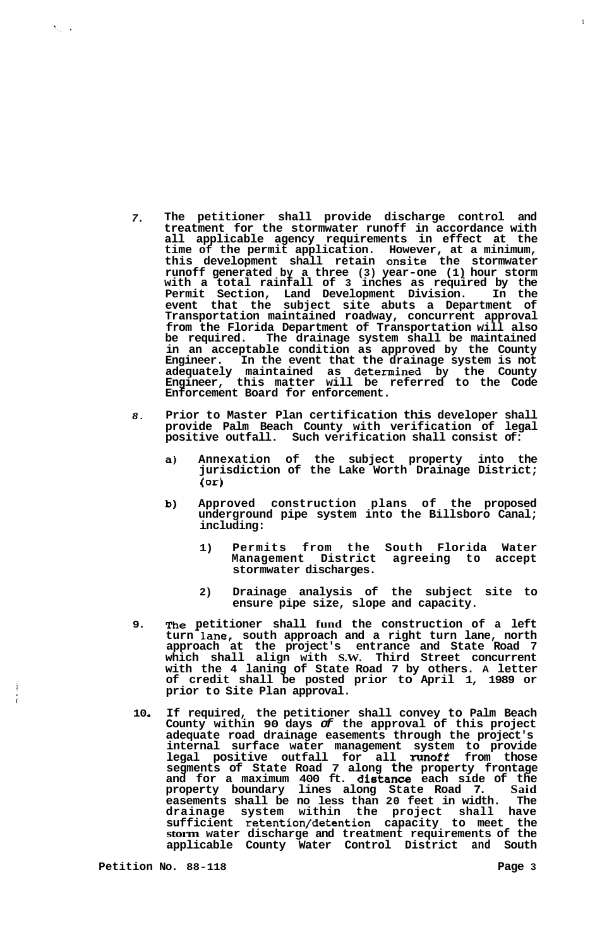- *7.*  **The petitioner shall provide discharge control and treatment for the stormwater runoff in accordance with all applicable agency requirements in effect at the time of the permit application. However, at a minimum, this development shall retain onsite the stormwater runoff generated by a three (3) year-one (1) hour storm with a total rainfall of 3 inches as required by the Permit Section, Land Development Division. In the event that the subject site abuts a Department of Transportation maintained roadway, concurrent approval from the Florida Department of Transportation will also be required. The drainage system shall be maintained in an acceptable condition as approved by the County Engineer. In the event that the drainage system is not adequately maintained as determined by the County Engineer, this matter will be referred to the Code Enforcement Board for enforcement.**
- *8.*  **Prior to Master Plan certification this developer shall provide Palm Beach County with verification of legal**  Such verification shall consist of:
	- **Annexation of the subject property into the**  a) **jurisdiction of the Lake Worth Drainage District; (or)**
	- **Approved construction plans of the proposed**  b) **underground pipe system into the Billsboro Canal; including:** 
		- **1) Permits from the South Florida Water Management District agreeing to accept stormwater discharges.**
		- **2) Drainage analysis of the subject site to ensure pipe size, slope and capacity.**
- **9. petitioner shall fund the construction of a left**  turn lane, south approach and a right turn lane, north **approach at the project's entrance and State Road 7 which shall align with S.W. Third Street concurrent with the 4 laning of State Road 7 by others. A letter of credit shall be posted prior to April 1, 1989 or prior to Site Plan approval.**
- **10** *<sup>0</sup>* **If required, the petitioner shall convey to Palm Beach County within 90 days** *of* **the approval of this project adequate road drainage easements through the project's internal surface water management system to provide legal positive outfall for all runoff from those segments of State Road 7 along the property frontage and for a maximum 400 ft. distance each side of the property boundary lines along State Road 7. Said easements shall be no less than 20 feet in width. The drainage system within the project shall have sufficient retention/detention capacity to meet the storm water discharge and treatment requirements of the applicable County Water Control District and South**

 $\mathbf{1}$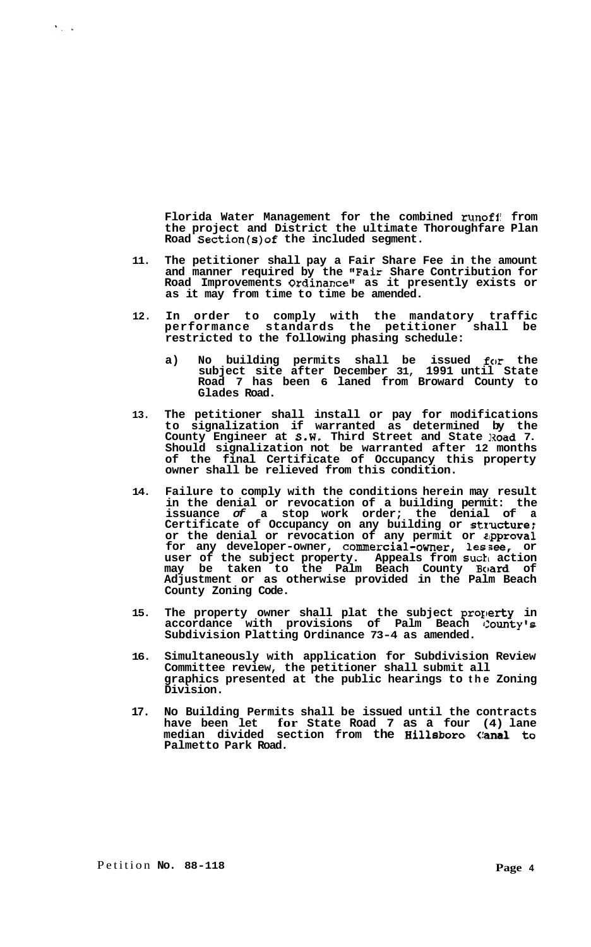**Florida Water Management for the combined runoft from the project and District the ultimate Thoroughfare Plan Road Section(s)of the included segment.** 

- **11. The petitioner shall pay a Fair Share Fee in the amount and manner required by the "Fair Share Contribution for Road Improvements Ordinance" as it presently exists or as it may from time to time be amended.**
- **12. In order to comply with the mandatory traffic performance standards the petitioner shall be restricted to the following phasing schedule:** 
	- **a) No building permits shall be issued for the subject site after December 31, 1991 until State Road 7 has been 6 laned from Broward County to Glades Road.**
- **13. The petitioner shall install or pay for modifications to signalization if warranted as determined by the County Engineer at S.W. Third Street and State Road 7. Should signalization not be warranted after 12 months of the final Certificate of Occupancy this property owner shall be relieved from this condition.**
- **14. Failure to comply with the conditions herein may result in the denial or revocation of a building permit: the issuance** *of* **a stop work order; the denial of a Certificate of Occupancy on any building or stlucture; or the denial or revocation of any permit or sipproval for any developer-owner, commercial-owner, lessee, or user of the subject property. Appeals from such action may be taken to the Palm Beach County Board of Adjustment or as otherwise provided in the Palm Beach County Zoning Code.**
- **15. The property owner shall plat the subject property in accordance with provisions of Palm Beach County's Subdivision Platting Ordinance 73-4 as amended.**
- **16. Simultaneously with application for Subdivision Review Committee review, the petitioner shall submit all graphics presented at the public hearings to the Zoning Division.**
- **17. No Building Permits shall be issued until the contracts have been let for State Road 7 as a four (4) lane median divided section from the Hillsboro** (!anal **to Palmetto Park Road.**

 $\mathcal{N}_{\rm eff}$  ,  $\mathcal{N}_{\rm eff}$